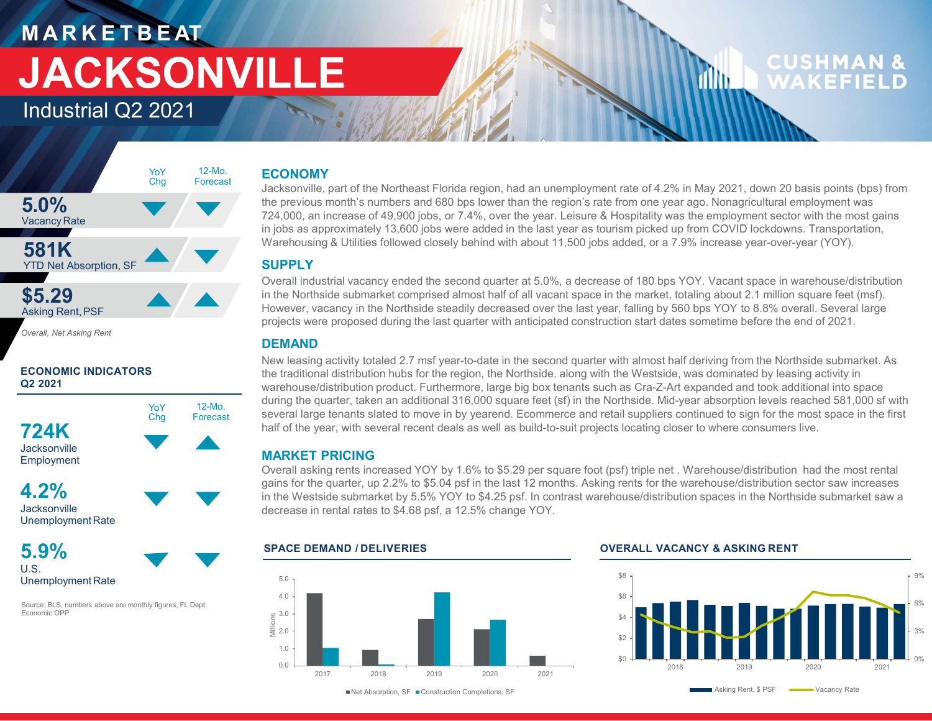## MARKETBEAT JACKSONVILLE

Industrial Q2 2021



Overall, Net Asking Rent





Jacksonville UnemploymentRate



Source: BLS, numbers above are monthly figures, FL Dept. Economic OPP

### 12-Mo. **ECONOMY**<br>Ferrorest

Jacksonville, part of the Northeast Florida region, had an unemployment rate of 4.2% in May 2021, down 20 basis points (bps) from Chg  $5.0\%$  the previous month's numbers and 680 bps lower than the region's rate from one year ago. Nonagricultural employment was  $724,000$  an increase of 49,900 in strange of 49,900 in the wear Leisure & Hespitality was th 724,000, an increase of 49,900 jobs, or 7.4%, over the year. Leisure & Hospitality was the employment sector with the most gains in jobs as approximately 13,600 jobs were added in the last year as tourism picked up from COVID lockdowns. Transportation, Warehousing & Utilities followed closely behind with about 11,500 jobs added, or a 7.9% increase year-over-year (YOY).

### **SUPPLY**

Overall industrial vacancy ended the second quarter at 5.0%, a decrease of 180 bps YOY. Vacant space in warehouse/distribution in the Northside submarket comprised almost half of all vacant space in the market, totaling about 2.1 million square feet (msf). However, vacancy in the Northside steadily decreased over the last year, falling by 560 bps YOY to 8.8% overall. Several large projects were proposed during the last quarter with anticipated construction start dates sometime before the end of 2021.

### DEMAND

New Market Compiles and the protocol of the second quarter of the second activity total state of the second activity total and the second of the second of the second of the second of the second of the second of the second the traditional distribution hubs for the region, the Northside. along with the Westside, was dominated by leasing activity in warehouse/distribution product. Furthermore, large big box tenants such as Cra-Z-Art expanded and took additional into space **ECONOMY**<br>Jacksonville, part of the Northeast Florida region, had an unemployment rate of 4.2% in May 2021, down 20 basis points (bps) from<br>Jacksonville, part of the Northeast Florida region, had an unemployment rate for o chg Forecast several large tenants slated to move in by yearend. Ecommerce and retail suppliers continued to sign for the most space in the first T24K half of the year, with several recent deals as well as build-to-suit projects locating closer to where consumers live. **ECONOMY**<br>
In the previous month's numbers and 680 bps lower than the region's rate from one year ago. Nonagricultural employment was<br>
the herovius month's numbers and 680 bps lower than the region's rate from one year ago Location in the Northeast Florida region, had an unemployment rate of 4.2% in May 2021, down 20 basis points (bps) from<br>the pervoius month's numbers and 680 bps iower than the region's rate from one year ago. Nonagricultur er lardition diatribution product. Furthermore, large big box tenants such as Cra-Z-Art expanded and took additional linto space<br>arehouse/distinution burbs for the region, the Northside along with the Westside, was domina Warehousing & Utilities followed closely behind with about 11,500 jobs added, or a 7.9% increase year-over-year (YOY).<br>
SUPRILI multiplifited vacancy ended the second quarter at 5.0%, a decrease of 180 bps YOY. Vacant spac during the quarter, taken an additional 316,000 square feet (sf) in the Northside. Mid-year absorption levels reached 581,000 sf with<br>Chg Forecast several large tenants slated to move in by yearend. Ecommerce and retail su 12-Mo. Company the que **Forecast** Several large to

### MARKET PRICING

 $\begin{array}{l} \text{gans for the quarter, up 2.2\% to $5.04$ ps in the last 12 months. Assuming rents for the warehouse/distribution sector saw increases in the Northside submarket saw a  
\nin the Westside submarket by 5.5\% YOY to $4.25 psf. In contrast warehouse/distribution spaces in the Northside submarket saw a$ decrease in rental rates to \$4.68 psf, a 12.5% change YOY.

### $0.0$   $\leftarrow$   $\leftarrow$   $\leftarrow$   $\leftarrow$   $\leftarrow$   $\leftarrow$   $\leftarrow$   $\leftarrow$   $\leftarrow$   $\leftarrow$   $\leftarrow$   $\leftarrow$   $\leftarrow$   $\leftarrow$   $\leftarrow$   $\leftarrow$   $\leftarrow$   $\leftarrow$   $\leftarrow$   $\leftarrow$   $\leftarrow$   $\leftarrow$   $\leftarrow$   $\leftarrow$   $\leftarrow$   $\leftarrow$   $\leftarrow$   $\leftarrow$   $\leftarrow$   $\leftarrow$   $\leftarrow$   $\leftarrow$   $\leftarrow$   $\leftarrow$   $\leftarrow$   $\leftarrow$ 1.0 + **1.0 + 2.0 + 2.0 + 2.0 + 2.0 + 2.0 + 2.0 + 2.0 + 2.0 + 2.0 + 2.0 + 2.0 + 2.0 + 2.0 + 2.0 + 2.0 + 2.0 + 2.0 + 2.0 + 2.0 + 2.0 + 2.0 + 2.0 + 2.0 + 2.0 + 2.0 + 2.0 + 2.0 + 2.0 + 2.0 + 2.0 + 2.0 + 2.0 + 2.0 + 2.0 + 2.0 +** 2.0  $3.0 \div 1$  . The set of the set of the set of the set of the set of the set of the set of the set of the set of the set of the set of the set of the set of the set of the set of the set of the set of the set of the set of  $4.0 + 1.0 + 1.0$ 5.0  $\sqrt{ }$ SUINGLINE SCHOON CONTROLL AND CONSULTER SAVE AND CONSULTER SCHOON CONSULTER SAVE AND CONSULTER SCHOON CONSULTER SCHOON CONSULTER SAVE AND RECONDING UNELL AND RECONDING UNELL AND REVISED AND New leasing activity totaled 2.7



■Net Absorption, SF ■Construction Completions, SF (North Construction Completions, SF (North Construction Completions, SF)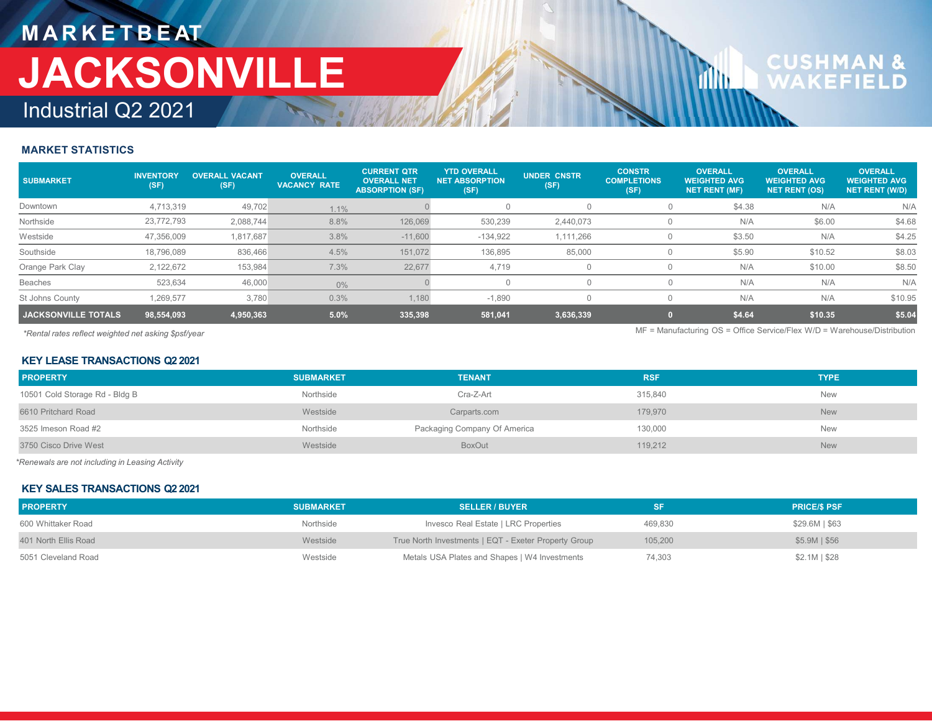### MARKETBEAT Industrial Q2 2021 JACKSONVILLE MARKET STATISTICS<br>
SUBMARKET STATISTICS<br>
SUBMARKET STATISTICS<br>
SUBMARKET MISTICS<br>
SUBMARKET METICS<br>
NOTING ALL VACANT VACANT VACANCY RATE OVERALL NET NET<br>
NOTING ALL VACANCY RATE (SERALL NET NET)<br>
NOTING ALL VACANCY RATE

| MARKETBEAT<br>JACKSONVILLE<br>Industrial Q2 2021     |            |                                  |                                       |                                                                    |                                                      |                                               |                                             | 111 I I                                                                    | <b>CUSHMAN &amp;</b><br>WAKEFIELD                             |                                                         |
|------------------------------------------------------|------------|----------------------------------|---------------------------------------|--------------------------------------------------------------------|------------------------------------------------------|-----------------------------------------------|---------------------------------------------|----------------------------------------------------------------------------|---------------------------------------------------------------|---------------------------------------------------------|
| <b>MARKET STATISTICS</b>                             |            |                                  |                                       |                                                                    |                                                      |                                               |                                             |                                                                            |                                                               |                                                         |
| <b>SUBMARKET</b>                                     | (SF)       | INVENTORY OVERALL VACANT<br>(SF) | <b>OVERALL</b><br><b>VACANCY RATE</b> | <b>CURRENT QTR</b><br><b>OVERALL NET</b><br><b>ABSORPTION (SF)</b> | <b>YTD OVERALL</b><br><b>NET ABSORPTION</b><br>(SF)  | <b>UNDER CNSTR</b><br>(SF)                    | <b>CONSTR</b><br><b>COMPLETIONS</b><br>(SF) | <b>OVERALL</b><br><b>WEIGHTED AVG</b><br><b>NET RENT (MF)</b>              | <b>OVERALL</b><br><b>WEIGHTED AVG</b><br><b>NET RENT (OS)</b> | <b>OVERALL</b><br><b>WEIGHTED AVG</b><br>NET RENT (W/D) |
| Downtown                                             | 4,713,319  | 49,702                           | 1.1%                                  |                                                                    | $\overline{0}$                                       | $\overline{0}$                                | $\overline{0}$                              | \$4.38                                                                     | N/A                                                           | N/A                                                     |
| Northside                                            | 23,772,793 | 2,088,744                        | 8.8%                                  | 126,069                                                            | 530,239                                              | 2,440,073                                     | $\overline{0}$                              | N/A                                                                        | \$6.00                                                        | \$4.68                                                  |
| Westside                                             | 47,356,009 | 1,817,687                        | 3.8%                                  | $-11,600$                                                          | $-134,922$                                           | 1,111,266                                     | $\overline{0}$                              | \$3.50                                                                     | N/A                                                           | \$4.25                                                  |
| Southside                                            | 18,796,089 | 836,466                          | 4.5%                                  | 151,072                                                            | 136,895                                              | 85,000                                        | $\overline{0}$                              | \$5.90                                                                     | \$10.52                                                       | \$8.03                                                  |
| Orange Park Clay                                     | 2,122,672  | 153,984                          | 7.3%                                  | 22,677                                                             | 4,719                                                | $\overline{0}$                                | $\overline{0}$                              | N/A                                                                        | \$10.00                                                       | \$8.50                                                  |
| <b>Beaches</b>                                       | 523,634    | 46,000                           | $0\%$                                 |                                                                    | $\overline{0}$                                       | $\overline{0}$                                | $\overline{0}$                              | N/A                                                                        | N/A                                                           | N/A                                                     |
| St Johns County                                      | 1,269,577  | 3,780                            | 0.3%                                  | 1,180                                                              | $-1,890$                                             | $\overline{0}$                                | $\overline{0}$                              | N/A                                                                        | N/A                                                           | \$10.95                                                 |
| <b>JACKSONVILLE TOTALS</b>                           | 98,554,093 | 4,950,363                        | $5.0\%$                               | 335,398                                                            | 581,041                                              | 3,636,339                                     | $\bullet$                                   | \$4.64                                                                     | \$10.35                                                       | \$5.04                                                  |
| *Rental rates reflect weighted net asking \$psf/year |            |                                  |                                       |                                                                    |                                                      |                                               |                                             | $MF =$ Manufacturing OS = Office Service/Flex W/D = Warehouse/Distribution |                                                               |                                                         |
| <b>KEY LEASE TRANSACTIONS Q2 2021</b>                |            |                                  |                                       |                                                                    |                                                      |                                               |                                             |                                                                            |                                                               |                                                         |
| <b>PROPERTY</b>                                      |            |                                  | <b>SUBMARKET</b>                      |                                                                    | <b>TENANT</b>                                        |                                               | <b>RSF</b>                                  |                                                                            | <b>TYPE</b>                                                   |                                                         |
| 10501 Cold Storage Rd - Bldg B                       |            |                                  | Northside                             |                                                                    | Cra-Z-Art                                            |                                               | 315,840                                     |                                                                            | New                                                           |                                                         |
| 6610 Pritchard Road                                  |            |                                  | Westside                              |                                                                    | Carparts.com                                         |                                               | 179,970                                     |                                                                            | <b>New</b>                                                    |                                                         |
| 3525 Imeson Road #2                                  |            |                                  | Northside                             |                                                                    | Packaging Company Of America                         |                                               | 130,000                                     |                                                                            | New                                                           |                                                         |
| 3750 Cisco Drive West                                |            |                                  | Westside                              |                                                                    | BoxOut                                               |                                               | 119,212                                     |                                                                            | New                                                           |                                                         |
| Renewals are not including in Leasing Activity       |            |                                  |                                       |                                                                    |                                                      |                                               |                                             |                                                                            |                                                               |                                                         |
| <b>KEY SALES TRANSACTIONS Q2 2021</b>                |            |                                  |                                       |                                                                    |                                                      |                                               |                                             |                                                                            |                                                               |                                                         |
| <b>PROPERTY</b>                                      |            |                                  | <b>SUBMARKET</b>                      |                                                                    | <b>SELLER / BUYER</b>                                |                                               | <b>SF</b>                                   |                                                                            | <b>PRICE/\$ PSF</b>                                           |                                                         |
| 600 Whittaker Road                                   |            |                                  | Northside                             |                                                                    | Invesco Real Estate   LRC Properties                 |                                               | 469,830                                     |                                                                            | \$29.6M   \$63                                                |                                                         |
| 401 North Ellis Road                                 |            |                                  | Westside                              |                                                                    | True North Investments   EQT - Exeter Property Group |                                               | 105,200                                     |                                                                            | \$5.9M   \$56                                                 |                                                         |
|                                                      |            |                                  |                                       |                                                                    |                                                      | Metals USA Plates and Shapes   W4 Investments | 74,303                                      |                                                                            |                                                               |                                                         |

### KEY LEASE TRANSACTIONS Q2 2021

| Southside                                            | 18,796,089 | 836,466   | 4.5%             | 151,072 | 136,895                                              | 85,000         | $\overline{0}$ | \$5.90 | \$10.52                                                                  | \$8.03  |
|------------------------------------------------------|------------|-----------|------------------|---------|------------------------------------------------------|----------------|----------------|--------|--------------------------------------------------------------------------|---------|
| Orange Park Clay                                     | 2,122,672  | 153,984   | 7.3%             | 22,677  | 4,719                                                | $\overline{0}$ | $\circ$        | N/A    | \$10.00                                                                  | \$8.50  |
| Beaches                                              | 523,634    | 46,000    | $0\%$            |         | $\overline{0}$                                       | $\overline{0}$ | $\circ$        | N/A    | N/A                                                                      | N/A     |
| St Johns County                                      | 1,269,577  | 3,780     | 0.3%             | 1,180   | $-1,890$                                             | $\overline{0}$ | $\circ$        | N/A    | N/A                                                                      | \$10.95 |
| JACKSONVILLE TOTALS                                  | 98,554,093 | 4,950,363 | $5.0\%$          | 335,398 | 581,041                                              | 3,636,339      | $\mathbf{0}$   | \$4.64 | \$10.35                                                                  | \$5.04  |
| *Rental rates reflect weighted net asking \$psf/year |            |           |                  |         |                                                      |                |                |        | MF = Manufacturing OS = Office Service/Flex W/D = Warehouse/Distribution |         |
| <b>KEY LEASE TRANSACTIONS Q2 2021</b>                |            |           |                  |         |                                                      |                |                |        |                                                                          |         |
| <b>PROPERTY</b>                                      |            |           | <b>SUBMARKET</b> |         | <b>TENANT</b>                                        |                | <b>RSF</b>     |        | <b>TYPE</b>                                                              |         |
| 10501 Cold Storage Rd - Bldg B                       |            |           | Northside        |         | Cra-Z-Art                                            |                | 315,840        |        | New                                                                      |         |
| 6610 Pritchard Road                                  |            |           | Westside         |         | Carparts.com                                         |                | 179,970        |        | <b>New</b>                                                               |         |
| 3525 Imeson Road #2                                  |            |           | Northside        |         | Packaging Company Of America                         |                | 130,000        |        | New                                                                      |         |
| 3750 Cisco Drive West                                |            |           | Westside         |         | BoxOut                                               |                | 119,212        |        | New                                                                      |         |
| *Renewals are not including in Leasing Activity      |            |           |                  |         |                                                      |                |                |        |                                                                          |         |
| <b>KEY SALES TRANSACTIONS Q2 2021</b>                |            |           |                  |         |                                                      |                |                |        |                                                                          |         |
| <b>PROPERTY</b>                                      |            |           | <b>SUBMARKET</b> |         | <b>SELLER / BUYER</b>                                |                | SF.            |        | <b>PRICE/\$ PSF</b>                                                      |         |
| 600 Whittaker Road                                   |            |           | Northside        |         | Invesco Real Estate   LRC Properties                 |                | 469,830        |        | $$29.6M$$   \$63                                                         |         |
| 401 North Ellis Road                                 |            |           | Westside         |         | True North Investments   EQT - Exeter Property Group |                | 105,200        |        | $$5.9M$   \$56                                                           |         |
| 5051 Cleveland Road                                  |            |           | Westside         |         | Metals USA Plates and Shapes   W4 Investments        |                | 74,303         |        | $$2.1M$$ $$28$                                                           |         |
|                                                      |            |           |                  |         |                                                      |                |                |        |                                                                          |         |
|                                                      |            |           |                  |         |                                                      |                |                |        |                                                                          |         |
|                                                      |            |           |                  |         |                                                      |                |                |        |                                                                          |         |
|                                                      |            |           |                  |         |                                                      |                |                |        |                                                                          |         |
|                                                      |            |           |                  |         |                                                      |                |                |        |                                                                          |         |

### KEY SALES TRANSACTIONS Q2 2021

| <b>PROPERTY</b>      | <b>SUBMARKET</b> | <b>SELLER / BUYER</b>                                |         | <b>PRICE/S PSF</b> |
|----------------------|------------------|------------------------------------------------------|---------|--------------------|
| 600 Whittaker Road   | Northside        | Invesco Real Estate   LRC Properties                 | 469.830 | \$29.6M   \$63     |
| 401 North Ellis Road | Westside         | True North Investments   EQT - Exeter Property Group | 105,200 | $$5.9M$   $$56$    |
| 5051 Cleveland Road  | Westside         | Metals USA Plates and Shapes   W4 Investments        | 74,303  | $$2.1M$   \$28     |